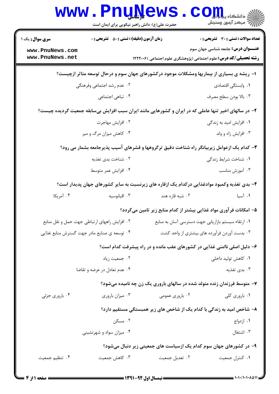|                                                                                            | <b>WWW.PNUNEWS</b><br>حضرت علی(ع): دانش راهبر نیکویی برای ایمان است |                                                                                                       | COLL I<br>رآ - مرڪز آزمون وسنڊش              |  |  |
|--------------------------------------------------------------------------------------------|---------------------------------------------------------------------|-------------------------------------------------------------------------------------------------------|----------------------------------------------|--|--|
| <b>سری سوال :</b> یک ۱                                                                     | <b>زمان آزمون (دقیقه) : تستی : 50 ٪ تشریحی : 0</b>                  |                                                                                                       | <b>تعداد سوالات : تستی : 30 ٪ تشریحی : 0</b> |  |  |
| www.PnuNews.com<br>www.PnuNews.net                                                         |                                                                     | <b>رشته تحصیلی/کد درس:</b> علوم اجتماعی (پژوهشگری علوم اجتماعی )۱۲۲۲۰۰۶                               | <b>عنـــوان درس:</b> جامعه شناسی جهان سوم    |  |  |
| ۱– ریشه ی بسیاری از بیماریها ومشکلات موجود درکشورهای جهان سوم و درحال توسعه متاثر ازچیست؟  |                                                                     |                                                                                                       |                                              |  |  |
|                                                                                            | ۰۲ عدم رشد اجتماعی وفرهنگی                                          |                                                                                                       | ٠١. وابستگي اقتصادي                          |  |  |
|                                                                                            | ۰۴ تباهی اجتماعی                                                    |                                                                                                       | ۰۳ بالا بودن سطح مصرف                        |  |  |
|                                                                                            |                                                                     | ۲- در سالهای اخیر تنها عاملی که در ایران و کشورهایی مانند ایران سبب افزایش بیسابقه جمعیت گردیده چیست؟ |                                              |  |  |
|                                                                                            | ۰۲ افزایش مهاجرت                                                    |                                                                                                       | ۰۱ افزایش امید به زندگی                      |  |  |
|                                                                                            | ۰۴ کاهش میزان مرگ و میر                                             |                                                                                                       | ۰۳ افزایش زاد و ولد                          |  |  |
| ۳- کدام یک ازعوامل زیربیانگر راه شناخت دقیق ترگروهها و قشرهای آسیب پذیرجامعه بشمار می رود؟ |                                                                     |                                                                                                       |                                              |  |  |
|                                                                                            | ۰۲ شناخت بدی تغذیه                                                  |                                                                                                       | ۰۱ شناخت شرایط زندگی                         |  |  |
|                                                                                            | ۰۴ افزایش عمر متوسط                                                 |                                                                                                       | ۰۳ آموزش مناسب                               |  |  |
|                                                                                            |                                                                     | ۴- بدی تغذیه وکمبود موادغذایی درکدام یک ازقاره های زیرنسبت به سایر کشورهای جهان پدیدار است؟           |                                              |  |  |
| ۰۴ آمریکا                                                                                  | ۰۳ اقيانوسيه                                                        | ۰۲ شبه قاره هند                                                                                       | ٠١. آسيا                                     |  |  |
|                                                                                            |                                                                     | ۵– امکانات فر آوری مواد غذایی بیشتر از کدام منابع زیر تامین میگردد؟                                   |                                              |  |  |
|                                                                                            | ۰۲ افزایش راههای ارتباطی جهت حمل و نقل منابع                        | ٠١ ارتقاء سيستم بازاريابي جهت دسترسي آسان به منابع                                                    |                                              |  |  |
|                                                                                            | ۰۴ توسعه ی صنایع مادر جهت گسترش منابع غذایی                         | ۰۳ بدست آوردن فرآورده های بیشتری از واحد کشت                                                          |                                              |  |  |
| ۶- دلیل اصلی ناامنی غذایی در کشورهای عقب مانده و در راه پیشرفت کدام است؟                   |                                                                     |                                                                                                       |                                              |  |  |
|                                                                                            | ۰۲ جمعیت زیاد                                                       |                                                                                                       | ۰۱ كاهش توليد داخلي                          |  |  |
|                                                                                            | ۰۴ عدم تعادل در عرضه و تقاضا                                        |                                                                                                       | ۰۳ بدي تغذيه                                 |  |  |
|                                                                                            |                                                                     | ۷- متوسط فرزندان زنده متولد شده در سالهای باروری یک زن چه نامیده میشود؟                               |                                              |  |  |
| ۰۴ باروری جزئی                                                                             | ۰۳ میزان باروری                                                     | ۰۲ باروری عمومی                                                                                       | ۰۱ باروری کلی                                |  |  |
|                                                                                            |                                                                     | ۸– شاخص امید به زندگی با کدام یک از شاخص های زیر همبستگی مستقیم دارد؟                                 |                                              |  |  |
|                                                                                            | ۰۲ مسکن                                                             |                                                                                                       | ۰۱ ازدواج                                    |  |  |
|                                                                                            | ۰۴ میزان سواد و شهرنشینی                                            |                                                                                                       | ۰۳ اشتغال                                    |  |  |
| ۹– در کشورهای جهان سوم کدام یک ازسیاست های جمعیتی زیر دنبال میشود؟                         |                                                                     |                                                                                                       |                                              |  |  |
| ۰۴ تنظیم جمعیت                                                                             | ۰۳ کاهش جمعیت                                                       | ۰۲ تعدیل جمعیت                                                                                        | ۰۱ کنترل جمعیت                               |  |  |
|                                                                                            |                                                                     |                                                                                                       |                                              |  |  |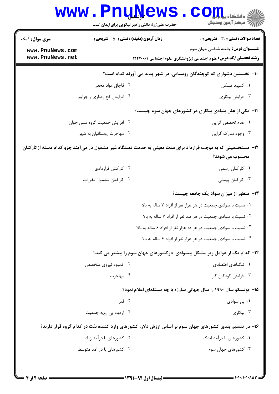|                                                                                                                              | <b>www.PnuNews</b><br>حضرت علی(ع): دانش راهبر نیکویی برای ایمان است |  | $\text{C}$ Om,<br>رِ ۖ مرڪز آزمون وسنڊش                                                                              |  |
|------------------------------------------------------------------------------------------------------------------------------|---------------------------------------------------------------------|--|----------------------------------------------------------------------------------------------------------------------|--|
| <b>سری سوال :</b> ۱ یک                                                                                                       | <b>زمان آزمون (دقیقه) : تستی : 50 ٪ تشریحی : 0</b>                  |  | <b>تعداد سوالات : تستی : 30 ٪ تشریحی : 0</b>                                                                         |  |
| www.PnuNews.com<br>www.PnuNews.net                                                                                           |                                                                     |  | <b>عنـــوان درس:</b> جامعه شناسی جهان سوم<br><b>رشته تحصیلی/کد درس:</b> علوم اجتماعی (پژوهشگری علوم اجتماعی )۱۲۲۲۰۰۶ |  |
| ∙۱− نخستین دشواری که کوچندگان روستایی، در شهر پدید می آورند کدام است؟                                                        |                                                                     |  |                                                                                                                      |  |
|                                                                                                                              | ۰۲ قاچاق مواد مخدر                                                  |  | ۰۱ کمبود مسکن                                                                                                        |  |
|                                                                                                                              | ۰۴ افزایش کج رفتاری و جرایم                                         |  | ۰۳ افزايش بيكارى                                                                                                     |  |
|                                                                                                                              |                                                                     |  | <b>۱۱- یکی از علل بنیادی بیکاری در کشورهای جهان سوم چیست؟</b>                                                        |  |
|                                                                                                                              | ٠٢ افزايش جمعيت گروه سنى جوان                                       |  | ٠١. عدم تخصص گرايي                                                                                                   |  |
|                                                                                                                              | ۰۴ مهاجرت روستائیان به شهر                                          |  | ۰۳ وجود مدرک گرایی                                                                                                   |  |
| ۱۲– مستخدمینی که به موجب قرارداد برای مدت معینی به خدمت دستگاه غیر مشمول در میآیند جزو کدام دسته ازکارکنان<br>محسوب مي شوند؟ |                                                                     |  |                                                                                                                      |  |
|                                                                                                                              | ۰۲ کارکنان قراردادی                                                 |  | ۰۱ کارکنان رسمي                                                                                                      |  |
|                                                                                                                              | ۰۴ کارکنان مشمول مقررات                                             |  | ۰۳ کارکنان پیمانی                                                                                                    |  |
|                                                                                                                              |                                                                     |  | ۱۳- منظور از میزان سواد یک جامعه چیست؟                                                                               |  |
|                                                                                                                              |                                                                     |  | ۰۱ نسبت با سوادی جمعیت در هر هزار نفر از افراد ۷ ساله به بالا                                                        |  |
|                                                                                                                              |                                                                     |  | ۰۲ نسبت با سوادی جمعیت در هر صد نفر از افراد ۷ ساله به بالا                                                          |  |
|                                                                                                                              |                                                                     |  | ۰۳ نسبت با سوادی جمعیت در هر ده هزار نفر از افراد ۶ ساله به بالا                                                     |  |
|                                                                                                                              |                                                                     |  | ۰۴ نسبت با سوادی جمعیت در هر هزار نفر از افراد ۶ ساله به بالا                                                        |  |
|                                                                                                                              |                                                                     |  | ۱۴- کدام یک از عوامل زیر مشکل بیسوادی درکشورهای جهان سوم را بیشتر می کند؟                                            |  |
|                                                                                                                              | ۰۲ کمبود نیروی متخصص                                                |  | ۰۱ تنگناهای اقتصادی                                                                                                  |  |
|                                                                                                                              | ۰۴ مهاجرت                                                           |  | ۰۳ افزایش کودکان کار                                                                                                 |  |
|                                                                                                                              |                                                                     |  | ۱۵- یونسکو سال ۱۹۹۰ را سال جهانی مبارزه با چه مسئلهای اعلام نمود؟                                                    |  |
|                                                                                                                              | ۰۲ فقر                                                              |  | ۰۱ بی سوادی                                                                                                          |  |
|                                                                                                                              | ۰۴ ازدیاد بی رویه جمعیت                                             |  | ۰۳ بیکاری $\cdot$                                                                                                    |  |
|                                                                                                                              |                                                                     |  | ۱۶– در تقسیم بندی کشورهای جهان سوم بر اساس ارزش دلار، کشورهای وارد کننده نفت در کدام گروه قرار دارند؟                |  |
|                                                                                                                              | ۰۲ کشورهای با درآمد زیاد                                            |  | ۰۱ کشورهای با درآمد اندک                                                                                             |  |
|                                                                                                                              | ۰۴ کشورهای با در آمد متوسط                                          |  | ۰۳ کشورهای جهان سوم                                                                                                  |  |
|                                                                                                                              |                                                                     |  |                                                                                                                      |  |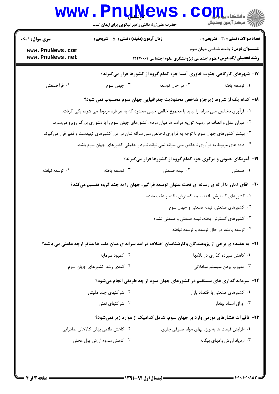| <b>سری سوال : ۱ یک</b> | <b>زمان آزمون (دقیقه) : تستی : 50 ٪ تشریحی : 0</b> |                                                                                                                 | <b>تعداد سوالات : تستی : 30 ٪ تشریحی : 0</b>   |
|------------------------|----------------------------------------------------|-----------------------------------------------------------------------------------------------------------------|------------------------------------------------|
| www.PnuNews.com        |                                                    |                                                                                                                 | <b>عنـــوان درس:</b> جامعه شناسی جهان سوم      |
| www.PnuNews.net        |                                                    | <b>رشته تحصیلی/کد درس:</b> علوم اجتماعی (پژوهشگری علوم اجتماعی )۱۲۲۲۰۰۶                                         |                                                |
|                        |                                                    | ۱۷- شهرهای کارگاهی جنوب خاوری آسیا جزء کدام گروه از کشورها قرار میگیرند؟                                        |                                                |
| ۰۴ فرا صنعتي           | ۰۳ جهان سوم                                        | ۰۲ در حال توسعه                                                                                                 | ٠١ توسعه يافته                                 |
|                        |                                                    | <b>۱۸</b> – کدام یک از شروط زیرجزو شاخص محدودیت جغرافیایی جهان سوم محسوب <u>نمی شود</u> ؟                       |                                                |
|                        |                                                    | ۰۱ فرآوری ناخالص ملی سرانه را نباید با مجموع خالص خیلی محدود که به هر فرد مربوط می شود، یکی گرفت.               |                                                |
|                        |                                                    | ۰۲ میزان عدل و انصاف در زمینه توزیع درآمد ها میان مردم، کشورهای جهان سوم را با دشواری بزرگ روبرو میسازد.        |                                                |
|                        |                                                    | ۰۳ بیشتر کشورهای جهان سوم با توجه به فرآوری ناخالص ملی سرانه شان در مرز کشورهای تهیدست و فقیر قرار میگیرند.     |                                                |
|                        |                                                    | ۰۴ داده های مربوط به فرآوری ناخالص ملی سرانه نمی تواند نمودار حقیقی کشورهای جهان سوم باشد.                      |                                                |
|                        |                                                    | ۱۹- آمریکای جنوبی و مرکزی جزء کدام گروه از کشورها قرار میگیرند؟                                                 |                                                |
| ۰۴ توسعه نيافته        | ۰۳ توسعه يافته                                     | ۰۲ نیمه صنعتی                                                                                                   | ۰۱ صنعتی                                       |
|                        |                                                    | +۲- آقای آ.بارر با ارائه ی رساله ای تحت عنوان توسعه فراگیر، جهان را به چند گروه تقسیم میکند؟                    |                                                |
|                        |                                                    | ۰۱ کشورهای گسترش یافته، نیمه گسترش یافته و عقب مانده                                                            |                                                |
|                        |                                                    |                                                                                                                 | ۰۲ کشورهای صنعتی، نیمه صنعتی و جهان سوم        |
|                        |                                                    | ۰۳ کشورهای گسترش یافته، نیمه صنعتی و صنعتی نشده                                                                 |                                                |
|                        |                                                    |                                                                                                                 | ۰۴ توسعه یافته، در حال توسعه و توسعه نیافته    |
|                        |                                                    | <b>۲۱</b> - به عقیده ی برخی از پژوهندگان وکارشناسان اختلاف در آمد سرانه ی میان ملت ها متاثر ازچه عاملی می باشد؟ |                                                |
|                        | ۰۲ کمبود سرمایه                                    |                                                                                                                 | ۰۱ کاهش سپرده گذاری در بانکها                  |
|                        | ۰۴ کندی رشد کشورهای جهان سوم                       |                                                                                                                 | ۰۳ معیوب بودن سیستم مبادلاتی                   |
|                        |                                                    | ۲۲- سرمایه گذاری های مستقیم در کشورهای جهان سوم از چه طریقی انجام میشود؟                                        |                                                |
|                        | ۰۲ شرکتهای چند ملیتی                               |                                                                                                                 | ۰۱ کشورهای صنعتی با اقتصاد بازار               |
|                        | ۰۴ شرکتهای نفتی                                    |                                                                                                                 | ۰۳ اوراق اسناد بهادار                          |
|                        |                                                    | ۲۳- تاثیرات فشارهای تورمی وارد بر جهان سوم، شامل کدامیک از موارد زیر نمیشود؟                                    |                                                |
|                        | ۲۰ کاهش دائمی بهای کالاهای صادراتی                 |                                                                                                                 | ۰۱ افزایش قیمت ها به ویژه بهای مواد مصرفی جاری |
|                        | ۰۴ کاهش مداوم ارزش پول محلی                        |                                                                                                                 | ۰۳ ازدیاد ارزش وامهای بیگانه                   |